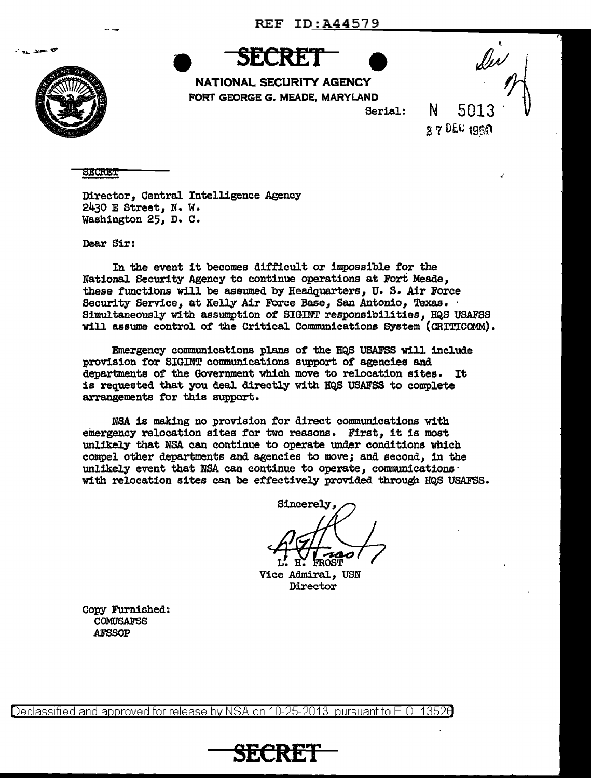

. . . .

**SECRET** 

NATIONAL SECURITY AGENCY FORT GEORGE G. MEADE, MARYLAND

Serial:

N 5013  $27$  DEC 1960

**SECRET** 

Director, Central Intelligence Agency 2430 E Street, N. w. Washington 25, D. C.

Dear Sir:

In the event it becomes difficult or impossible *tor* the National Security Agency to continue operations at Fort Meade, these functions will be assumed by Headquarters, U. S. Air Force Security Service, at Kelly Air Force Base, San Antonio, Texas. Simultaneously with assumption of SIGINT responsibilities, HQS USAFSS will assume control of the Critical. Communications System (CRITICOMM).

Emergency communications plans of the HQS USAFSS will include provision for SIGINT communications support of agencies and departments of the Government which move to relocation\_ sites. It is requested that you deal directly with HQS USAFSS to complete arrangements tor this support.

NBA is making no provision for direct communications with emergency relocation sites *tor* two reasons. First, it is most unlikely that NBA can continue to operate under conditions which compel other departments and agencies to move; and second, in the unlikely event that NSA can continue to operate, communications with relocation sites can be effectively provided through HQS USAFSS.

**Sincerely,** 

Vice Admiral, USN Director

Copy Furnished: COMUSAFSS AFSSOP

Declassified and approved for release by NSA on 10-25-2013  $\,$  pursuant to E.O. 1352 $\epsilon$